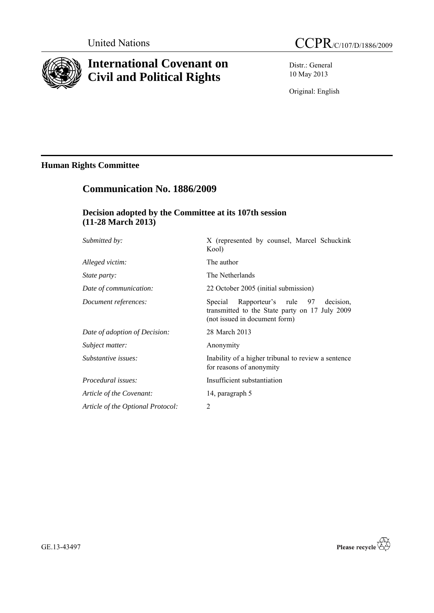

# **International Covenant on Civil and Political Rights**

Distr.: General 10 May 2013

Original: English

# **Human Rights Committee**

# **Communication No. 1886/2009**

## **Decision adopted by the Committee at its 107th session (11-28 March 2013)**

| <i>Submitted by:</i>              | X (represented by counsel, Marcel Schuckink<br>Kool)                                                                            |
|-----------------------------------|---------------------------------------------------------------------------------------------------------------------------------|
| Alleged victim:                   | The author                                                                                                                      |
| <i>State party:</i>               | The Netherlands                                                                                                                 |
| Date of communication:            | 22 October 2005 (initial submission)                                                                                            |
| Document references:              | Rapporteur's rule 97<br>Special<br>decision.<br>transmitted to the State party on 17 July 2009<br>(not issued in document form) |
| Date of adoption of Decision:     | 28 March 2013                                                                                                                   |
| Subject matter:                   | Anonymity                                                                                                                       |
| Substantive issues:               | Inability of a higher tribunal to review a sentence<br>for reasons of anonymity                                                 |
| Procedural issues:                | Insufficient substantiation                                                                                                     |
| Article of the Covenant:          | 14, paragraph 5                                                                                                                 |
| Article of the Optional Protocol: | $\overline{2}$                                                                                                                  |

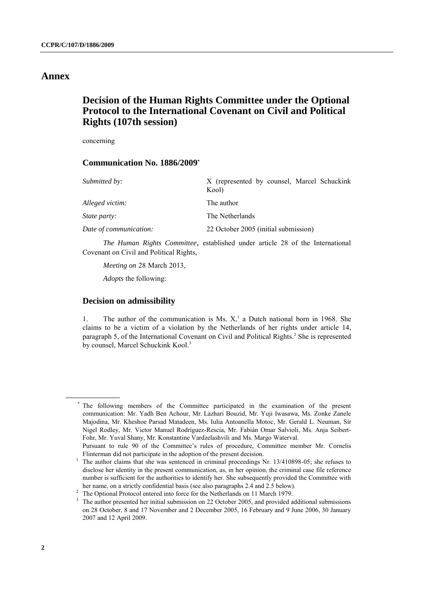## **Annex**

# **Decision of the Human Rights Committee under the Optional Protocol to the International Covenant on Civil and Political Rights (107th session)**

concerning

## **Communication No. 1886/2009\***

| Submitted by:          | X (represented by counsel, Marcel Schuckink<br>Kool) |
|------------------------|------------------------------------------------------|
| Alleged victim:        | The author                                           |
| <i>State party:</i>    | The Netherlands                                      |
| Date of communication: | 22 October 2005 (initial submission)                 |

*The Human Rights Committee*, established under article 28 of the International Covenant on Civil and Political Rights,

*Meeting on* 28 March 2013,

*Adopts* the following:

## **Decision on admissibility**

1. The author of the communication is Ms.  $X<sub>1</sub><sup>1</sup>$  a Dutch national born in 1968. She claims to be a victim of a violation by the Netherlands of her rights under article 14, paragraph 5, of the International Covenant on Civil and Political Rights. <sup>2</sup> She is represented by counsel, Marcel Schuckink Kool.<sup>3</sup>

The following members of the Committee participated in the examination of the present communication: Mr. Yadh Ben Achour, Mr. Lazhari Bouzid, Mr. Yuji Iwasawa, Ms. Zonke Zanele Majodina, Mr. Kheshoe Parsad Matadeen, Ms. Iulia Antoanella Motoc, Mr. Gerald L. Neuman, Sir Nigel Rodley, Mr. Victor Manuel Rodríguez-Rescia, Mr. Fabián Omar Salvioli, Ms. Anja Seibert-Fohr, Mr. Yuval Shany, Mr. Konstantine Vardzelashvili and Ms. Margo Waterval.

Pursuant to rule 90 of the Committee's rules of procedure, Committee member Mr. Cornelis Flinterman did not participate in the adoption of the present decision.

<sup>&</sup>lt;sup>1</sup> The author claims that she was sentenced in criminal proceedings Nr. 13/410898-05; she refuses to disclose her identity in the present communication, as, in her opinion, the criminal case file reference number is sufficient for the authorities to identify her. She subsequently provided the Committee with her name, on a strictly confidential basis (see also paragraphs 2.4 and 2.5 below).

<sup>&</sup>lt;sup>2</sup> The Optional Protocol entered into force for the Netherlands on 11 March 1979.

<sup>3</sup> The author presented her initial submission on 22 October 2005, and provided additional submissions on 28 October, 8 and 17 November and 2 December 2005, 16 February and 9 June 2006, 30 January 2007 and 12 April 2009.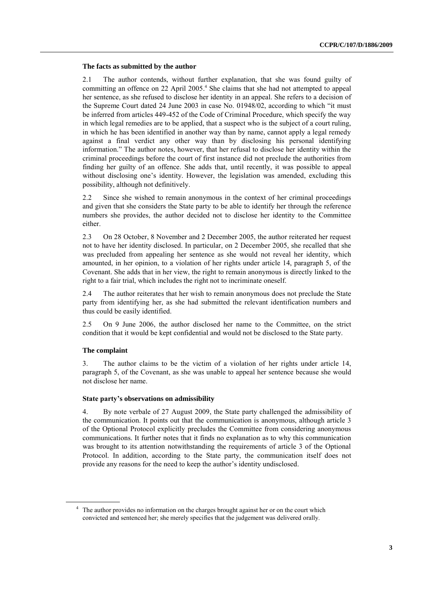#### **The facts as submitted by the author**

2.1 The author contends, without further explanation, that she was found guilty of committing an offence on 22 April 2005. <sup>4</sup> She claims that she had not attempted to appeal her sentence, as she refused to disclose her identity in an appeal. She refers to a decision of the Supreme Court dated 24 June 2003 in case No. 01948/02, according to which "it must be inferred from articles 449-452 of the Code of Criminal Procedure, which specify the way in which legal remedies are to be applied, that a suspect who is the subject of a court ruling, in which he has been identified in another way than by name, cannot apply a legal remedy against a final verdict any other way than by disclosing his personal identifying information." The author notes, however, that her refusal to disclose her identity within the criminal proceedings before the court of first instance did not preclude the authorities from finding her guilty of an offence. She adds that, until recently, it was possible to appeal without disclosing one's identity. However, the legislation was amended, excluding this possibility, although not definitively.

2.2 Since she wished to remain anonymous in the context of her criminal proceedings and given that she considers the State party to be able to identify her through the reference numbers she provides, the author decided not to disclose her identity to the Committee either.

2.3 On 28 October, 8 November and 2 December 2005, the author reiterated her request not to have her identity disclosed. In particular, on 2 December 2005, she recalled that she was precluded from appealing her sentence as she would not reveal her identity, which amounted, in her opinion, to a violation of her rights under article 14, paragraph 5, of the Covenant. She adds that in her view, the right to remain anonymous is directly linked to the right to a fair trial, which includes the right not to incriminate oneself.

2.4 The author reiterates that her wish to remain anonymous does not preclude the State party from identifying her, as she had submitted the relevant identification numbers and thus could be easily identified.

2.5 On 9 June 2006, the author disclosed her name to the Committee, on the strict condition that it would be kept confidential and would not be disclosed to the State party.

### **The complaint**

3. The author claims to be the victim of a violation of her rights under article 14, paragraph 5, of the Covenant, as she was unable to appeal her sentence because she would not disclose her name.

#### **State party's observations on admissibility**

4. By note verbale of 27 August 2009, the State party challenged the admissibility of the communication. It points out that the communication is anonymous, although article 3 of the Optional Protocol explicitly precludes the Committee from considering anonymous communications. It further notes that it finds no explanation as to why this communication was brought to its attention notwithstanding the requirements of article 3 of the Optional Protocol. In addition, according to the State party, the communication itself does not provide any reasons for the need to keep the author's identity undisclosed.

<sup>&</sup>lt;sup>4</sup> The author provides no information on the charges brought against her or on the court which convicted and sentenced her; she merely specifies that the judgement was delivered orally.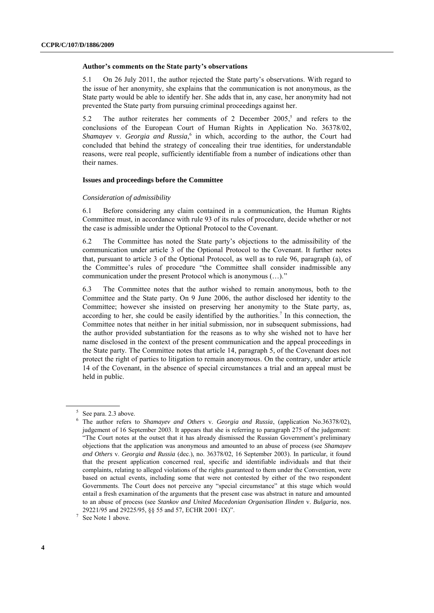#### **Author's comments on the State party's observations**

5.1 On 26 July 2011, the author rejected the State party's observations. With regard to the issue of her anonymity, she explains that the communication is not anonymous, as the State party would be able to identify her. She adds that in, any case, her anonymity had not prevented the State party from pursuing criminal proceedings against her.

5.2 The author reiterates her comments of 2 December 2005, 5 and refers to the conclusions of the European Court of Human Rights in Application No. 36378/02, *Shamayev* v. *Georgia and Russia,* 6 in which, according to the author, the Court had concluded that behind the strategy of concealing their true identities, for understandable reasons, were real people, sufficiently identifiable from a number of indications other than their names.

### **Issues and proceedings before the Committee**

#### *Consideration of admissibility*

6.1 Before considering any claim contained in a communication, the Human Rights Committee must, in accordance with rule 93 of its rules of procedure, decide whether or not the case is admissible under the Optional Protocol to the Covenant.

6.2 The Committee has noted the State party's objections to the admissibility of the communication under article 3 of the Optional Protocol to the Covenant. It further notes that, pursuant to article 3 of the Optional Protocol, as well as to rule 96, paragraph (a), of the Committee's rules of procedure "the Committee shall consider inadmissible any communication under the present Protocol which is anonymous (…)."

6.3 The Committee notes that the author wished to remain anonymous, both to the Committee and the State party. On 9 June 2006, the author disclosed her identity to the Committee; however she insisted on preserving her anonymity to the State party, as, according to her, she could be easily identified by the authorities.<sup>7</sup> In this connection, the Committee notes that neither in her initial submission, nor in subsequent submissions, had the author provided substantiation for the reasons as to why she wished not to have her name disclosed in the context of the present communication and the appeal proceedings in the State party. The Committee notes that article 14, paragraph 5, of the Covenant does not protect the right of parties to litigation to remain anonymous. On the contrary, under article 14 of the Covenant, in the absence of special circumstances a trial and an appeal must be held in public.

<sup>5</sup> See para. 2.3 above.

<sup>6</sup> The author refers to *Shamayev and Others* v. *Georgia and Russia*, (application No.36378/02), judgement of 16 September 2003. It appears that she is referring to paragraph 275 of the judgement: "The Court notes at the outset that it has already dismissed the Russian Government's preliminary objections that the application was anonymous and amounted to an abuse of process (see *Shamayev and Others* v. *Georgia and Russia* (dec.), no. 36378/02, 16 September 2003). In particular, it found that the present application concerned real, specific and identifiable individuals and that their complaints, relating to alleged violations of the rights guaranteed to them under the Convention, were based on actual events, including some that were not contested by either of the two respondent Governments. The Court does not perceive any "special circumstance" at this stage which would entail a fresh examination of the arguments that the present case was abstract in nature and amounted to an abuse of process (see *Stankov and United Macedonian Organisation Ilinden* v. *Bulgaria*, nos. 29221/95 and 29225/95, §§ 55 and 57, ECHR 2001‑IX)".

<sup>7</sup> See Note 1 above.